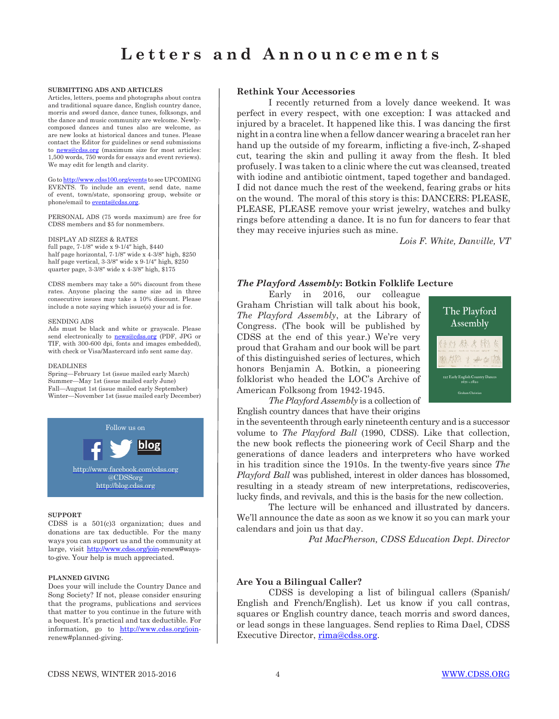#### **SUBMITTING ADS AND ARTICLES**

Articles, letters, poems and photographs about contra and traditional square dance, English country dance, morris and sword dance, dance tunes, folksongs, and the dance and music community are welcome. Newlycomposed dances and tunes also are welcome, as are new looks at historical dances and tunes. Please contact the Editor for guidelines or send submissions to **news@cdss.org** (maximum size for most articles: 1,500 words, 750 words for essays and event reviews). We may edit for length and clarity.

Go to http://www.cdss100.org/events to see UPCOMING EVENTS. To include an event, send date, name of event, town/state, sponsoring group, website or phone/email to events@cdss.org.

PERSONAL ADS (75 words maximum) are free for CDSS members and \$5 for nonmembers.

### DISPLAY AD SIZES & RATES

full page, 7-1/8″ wide x 9-1/4″ high, \$440 half page horizontal, 7-1/8″ wide x 4-3/8″ high, \$250 half page vertical, 3-3/8″ wide x 9-1/4″ high, \$250 quarter page, 3-3/8″ wide x 4-3/8″ high, \$175

CDSS members may take a 50% discount from these rates. Anyone placing the same size ad in three consecutive issues may take a 10% discount. Please include a note saying which issue(s) your ad is for.

#### SENDING ADS

Ads must be black and white or grayscale. Please send electronically to **news@cdss.org** (PDF, JPG or TIF, with 300-600 dpi, fonts and images embedded), with check or Visa/Mastercard info sent same day.

#### DEADLINES

Spring—February 1st (issue mailed early March) Summer—May 1st (issue mailed early June) Fall—August 1st (issue mailed early September) Winter—November 1st (issue mailed early December)



### **SUPPORT**

CDSS is a 501(c)3 organization; dues and donations are tax deductible. For the many ways you can support us and the community at large, visit http://www.cdss.org/join-renew#waysto-give. Your help is much appreciated.

#### **PLANNED GIVING**

Does your will include the Country Dance and Song Society? If not, please consider ensuring that the programs, publications and services that matter to you continue in the future with a bequest. It's practical and tax deductible. For information, go to http://www.cdss.org/joinrenew#planned-giving.

### **Rethink Your Accessories**

I recently returned from a lovely dance weekend. It was perfect in every respect, with one exception: I was attacked and injured by a bracelet. It happened like this. I was dancing the first night in a contra line when a fellow dancer wearing a bracelet ran her hand up the outside of my forearm, inflicting a five-inch, Z-shaped cut, tearing the skin and pulling it away from the flesh. It bled profusely. I was taken to a clinic where the cut was cleansed, treated with iodine and antibiotic ointment, taped together and bandaged. I did not dance much the rest of the weekend, fearing grabs or hits on the wound. The moral of this story is this: DANCERS: PLEASE, PLEASE, PLEASE remove your wrist jewelry, watches and bulky rings before attending a dance. It is no fun for dancers to fear that they may receive injuries such as mine.

*Lois F. White, Danville, VT*

# *The Playford Assembly***: Botkin Folklife Lecture**

Early in 2016, our colleague Graham Christian will talk about his book, *The Playford Assembly*, at the Library of Congress. (The book will be published by CDSS at the end of this year.) We're very proud that Graham and our book will be part of this distinguished series of lectures, which honors Benjamin A. Botkin, a pioneering folklorist who headed the LOC's Archive of American Folksong from 1942-1945.



*The Playford Assembly* is a collection of English country dances that have their origins

in the seventeenth through early nineteenth century and is a successor volume to *The Playford Ball* (1990, CDSS). Like that collection, the new book reflects the pioneering work of Cecil Sharp and the generations of dance leaders and interpreters who have worked in his tradition since the 1910s. In the twenty-five years since *The Playford Ball* was published, interest in older dances has blossomed, resulting in a steady stream of new interpretations, rediscoveries, lucky finds, and revivals, and this is the basis for the new collection.

The lecture will be enhanced and illustrated by dancers. We'll announce the date as soon as we know it so you can mark your calendars and join us that day.

*Pat MacPherson, CDSS Education Dept. Director*

# **Are You a Bilingual Caller?**

CDSS is developing a list of bilingual callers (Spanish/ English and French/English). Let us know if you call contras, squares or English country dance, teach morris and sword dances, or lead songs in these languages. Send replies to Rima Dael, CDSS Executive Director, rima@cdss.org.